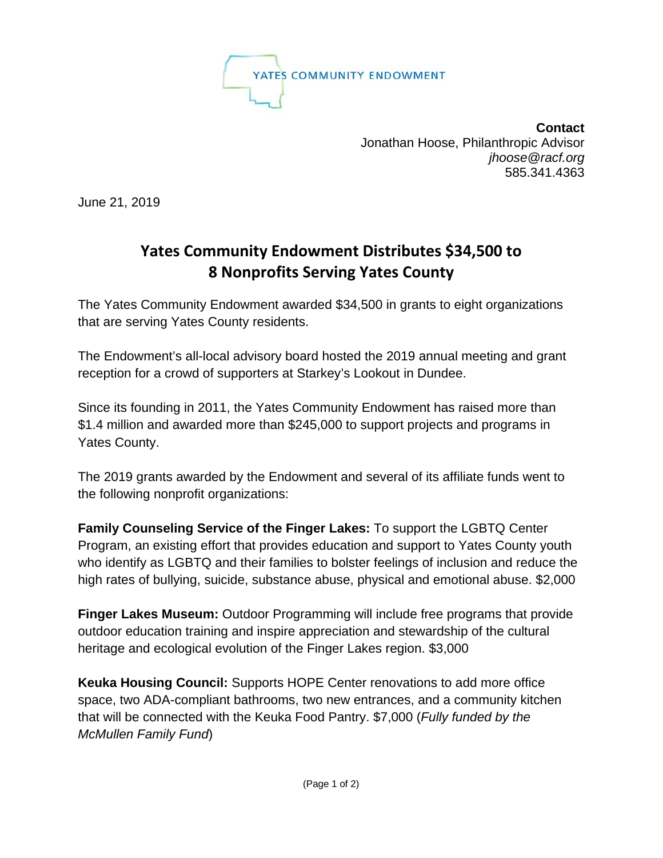

**Contact** Jonathan Hoose, Philanthropic Advisor  *[jhoose@racf.org](mailto:jhoose@racf.org)* 585.341.4363

June 21, 2019

## **Yates Community Endowment Distributes \$34,500 to 8 Nonprofits Serving Yates County**

The Yates Community Endowment awarded \$34,500 in grants to eight organizations that are serving Yates County residents.

The Endowment's all-local advisory board hosted the 2019 annual meeting and grant reception for a crowd of supporters at Starkey's Lookout in Dundee.

Since its founding in 2011, the Yates Community Endowment has raised more than \$1.4 million and awarded more than \$245,000 to support projects and programs in Yates County.

The 2019 grants awarded by the Endowment and several of its affiliate funds went to the following nonprofit organizations:

**Family Counseling Service of the Finger Lakes:** To support the LGBTQ Center Program, an existing effort that provides education and support to Yates County youth who identify as LGBTQ and their families to bolster feelings of inclusion and reduce the high rates of bullying, suicide, substance abuse, physical and emotional abuse. \$2,000

**Finger Lakes Museum:** Outdoor Programming will include free programs that provide outdoor education training and inspire appreciation and stewardship of the cultural heritage and ecological evolution of the Finger Lakes region. \$3,000

**Keuka Housing Council:** Supports HOPE Center renovations to add more office space, two ADA-compliant bathrooms, two new entrances, and a community kitchen that will be connected with the Keuka Food Pantry. \$7,000 (*Fully funded by the McMullen Family Fund*)